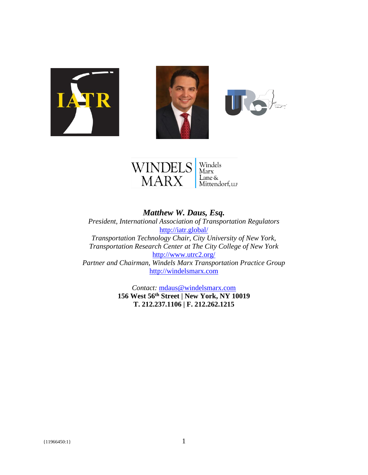







*Matthew W. Daus, Esq. President, International Association of Transportation Regulators* <http://iatr.global/> *Transportation Technology Chair, City University of New York, Transportation Research Center at The City College of New York* <http://www.utrc2.org/> *Partner and Chairman, Windels Marx Transportation Practice Group* [http://windelsmarx.com](http://windelsmarx.com/)

> *Contact:* [mdaus@windelsmarx.com](mailto:mdaus@windelsmarx.com) **156 West 56th Street | New York, NY 10019 T. 212.237.1106 | F. 212.262.1215**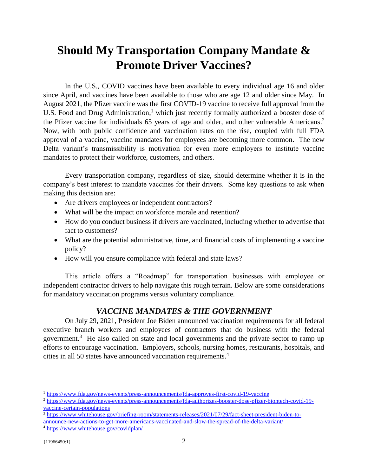# **Should My Transportation Company Mandate & Promote Driver Vaccines?**

In the U.S., COVID vaccines have been available to every individual age 16 and older since April, and vaccines have been available to those who are age 12 and older since May. In August 2021, the Pfizer vaccine was the first COVID-19 vaccine to receive full approval from the U.S. Food and Drug Administration,<sup>1</sup> which just recently formally authorized a booster dose of the Pfizer vaccine for individuals 65 years of age and older, and other vulnerable Americans. 2 Now, with both public confidence and vaccination rates on the rise, coupled with full FDA approval of a vaccine, vaccine mandates for employees are becoming more common. The new Delta variant's transmissibility is motivation for even more employers to institute vaccine mandates to protect their workforce, customers, and others.

Every transportation company, regardless of size, should determine whether it is in the company's best interest to mandate vaccines for their drivers. Some key questions to ask when making this decision are:

- Are drivers employees or independent contractors?
- What will be the impact on workforce morale and retention?
- How do you conduct business if drivers are vaccinated, including whether to advertise that fact to customers?
- What are the potential administrative, time, and financial costs of implementing a vaccine policy?
- How will you ensure compliance with federal and state laws?

This article offers a "Roadmap" for transportation businesses with employee or independent contractor drivers to help navigate this rough terrain. Below are some considerations for mandatory vaccination programs versus voluntary compliance.

## *VACCINE MANDATES & THE GOVERNMENT*

On July 29, 2021, President Joe Biden announced vaccination requirements for all federal executive branch workers and employees of contractors that do business with the federal government.<sup>3</sup> He also called on state and local governments and the private sector to ramp up efforts to encourage vaccination. Employers, schools, nursing homes, restaurants, hospitals, and cities in all 50 states have announced vaccination requirements.<sup>4</sup>

<sup>3</sup> [https://www.whitehouse.gov/briefing-room/statements-releases/2021/07/29/fact-sheet-president-biden-to](https://www.whitehouse.gov/briefing-room/statements-releases/2021/07/29/fact-sheet-president-biden-to-announce-new-actions-to-get-more-americans-vaccinated-and-slow-the-spread-of-the-delta-variant/)[announce-new-actions-to-get-more-americans-vaccinated-and-slow-the-spread-of-the-delta-variant/](https://www.whitehouse.gov/briefing-room/statements-releases/2021/07/29/fact-sheet-president-biden-to-announce-new-actions-to-get-more-americans-vaccinated-and-slow-the-spread-of-the-delta-variant/)

<sup>1</sup> <https://www.fda.gov/news-events/press-announcements/fda-approves-first-covid-19-vaccine>

<sup>2</sup> [https://www.fda.gov/news-events/press-announcements/fda-authorizes-booster-dose-pfizer-biontech-covid-19](https://www.fda.gov/news-events/press-announcements/fda-authorizes-booster-dose-pfizer-biontech-covid-19-vaccine-certain-populations) [vaccine-certain-populations](https://www.fda.gov/news-events/press-announcements/fda-authorizes-booster-dose-pfizer-biontech-covid-19-vaccine-certain-populations)

<sup>4</sup> <https://www.whitehouse.gov/covidplan/>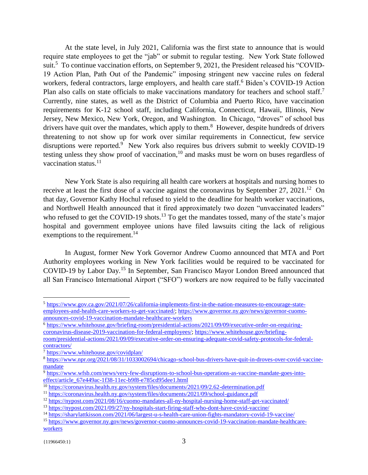At the state level, in July 2021, California was the first state to announce that is would require state employees to get the "jab" or submit to regular testing. New York State followed suit.<sup>5</sup> To continue vaccination efforts, on September 9, 2021, the President released his "COVID-19 Action Plan, Path Out of the Pandemic" imposing stringent new vaccine rules on federal workers, federal contractors, large employers, and health care staff.<sup>6</sup> Biden's COVID-19 Action Plan also calls on state officials to make vaccinations mandatory for teachers and school staff.<sup>7</sup> Currently, nine states, as well as the District of Columbia and Puerto Rico, have vaccination requirements for K-12 school staff, including California, Connecticut, Hawaii, Illinois, New Jersey, New Mexico, New York, Oregon, and Washington. In Chicago, "droves" of school bus drivers have quit over the mandates, which apply to them.<sup>8</sup> However, despite hundreds of drivers threatening to not show up for work over similar requirements in Connecticut, few service disruptions were reported.<sup>9</sup> New York also requires bus drivers submit to weekly COVID-19 testing unless they show proof of vaccination,  $10$  and masks must be worn on buses regardless of vaccination status. $11$ 

New York State is also requiring all health care workers at hospitals and nursing homes to receive at least the first dose of a vaccine against the coronavirus by September 27, 2021.<sup>12</sup> On that day, Governor Kathy Hochul refused to yield to the deadline for health worker vaccinations, and Northwell Health announced that it fired approximately two dozen "unvaccinated leaders" who refused to get the COVID-19 shots.<sup>13</sup> To get the mandates tossed, many of the state's major hospital and government employee unions have filed lawsuits citing the lack of religious exemptions to the requirement.<sup>14</sup>

In August, former New York Governor Andrew Cuomo announced that MTA and Port Authority employees working in New York facilities would be required to be vaccinated for COVID-19 by Labor Day.<sup>15</sup> In September, San Francisco Mayor London Breed announced that all San Francisco International Airport ("SFO") workers are now required to be fully vaccinated

<sup>5</sup> [https://www.gov.ca.gov/2021/07/26/california-implements-first-in-the-nation-measures-to-encourage-state](https://www.gov.ca.gov/2021/07/26/california-implements-first-in-the-nation-measures-to-encourage-state-employees-and-health-care-workers-to-get-vaccinated/)[employees-and-health-care-workers-to-get-vaccinated/;](https://www.gov.ca.gov/2021/07/26/california-implements-first-in-the-nation-measures-to-encourage-state-employees-and-health-care-workers-to-get-vaccinated/) [https://www.governor.ny.gov/news/governor-cuomo](https://www.governor.ny.gov/news/governor-cuomo-announces-covid-19-vaccination-mandate-healthcare-workers)[announces-covid-19-vaccination-mandate-healthcare-workers](https://www.governor.ny.gov/news/governor-cuomo-announces-covid-19-vaccination-mandate-healthcare-workers)

<sup>6</sup> [https://www.whitehouse.gov/briefing-room/presidential-actions/2021/09/09/executive-order-on-requiring](https://www.whitehouse.gov/briefing-room/presidential-actions/2021/09/09/executive-order-on-requiring-coronavirus-disease-2019-vaccination-for-federal-employees/)[coronavirus-disease-2019-vaccination-for-federal-employees/;](https://www.whitehouse.gov/briefing-room/presidential-actions/2021/09/09/executive-order-on-requiring-coronavirus-disease-2019-vaccination-for-federal-employees/) [https://www.whitehouse.gov/briefing](https://www.whitehouse.gov/briefing-room/presidential-actions/2021/09/09/executive-order-on-ensuring-adequate-covid-safety-protocols-for-federal-contractors/)[room/presidential-actions/2021/09/09/executive-order-on-ensuring-adequate-covid-safety-protocols-for-federal-](https://www.whitehouse.gov/briefing-room/presidential-actions/2021/09/09/executive-order-on-ensuring-adequate-covid-safety-protocols-for-federal-contractors/)

[contractors/](https://www.whitehouse.gov/briefing-room/presidential-actions/2021/09/09/executive-order-on-ensuring-adequate-covid-safety-protocols-for-federal-contractors/)

<sup>7</sup> <https://www.whitehouse.gov/covidplan/>

<sup>8</sup> [https://www.npr.org/2021/08/31/1033002694/chicago-school-bus-drivers-have-quit-in-droves-over-covid-vaccine](https://www.npr.org/2021/08/31/1033002694/chicago-school-bus-drivers-have-quit-in-droves-over-covid-vaccine-mandate)[mandate](https://www.npr.org/2021/08/31/1033002694/chicago-school-bus-drivers-have-quit-in-droves-over-covid-vaccine-mandate)

<sup>&</sup>lt;sup>9</sup> [https://www.wfsb.com/news/very-few-disruptions-to-school-bus-operations-as-vaccine-mandate-goes-into](https://www.wfsb.com/news/very-few-disruptions-to-school-bus-operations-as-vaccine-mandate-goes-into-effect/article_67e449ac-1f38-11ec-b9f8-e785cd95dee1.html)[effect/article\\_67e449ac-1f38-11ec-b9f8-e785cd95dee1.html](https://www.wfsb.com/news/very-few-disruptions-to-school-bus-operations-as-vaccine-mandate-goes-into-effect/article_67e449ac-1f38-11ec-b9f8-e785cd95dee1.html)

<sup>10</sup> <https://coronavirus.health.ny.gov/system/files/documents/2021/09/2.62-determination.pdf>

<sup>11</sup> <https://coronavirus.health.ny.gov/system/files/documents/2021/09/school-guidance.pdf>

<sup>12</sup> <https://nypost.com/2021/08/16/cuomo-mandates-all-ny-hospital-nursing-home-staff-get-vaccinated/>

<sup>13</sup> <https://nypost.com/2021/09/27/ny-hospitals-start-firing-staff-who-dont-have-covid-vaccine/>

<sup>14</sup> <https://sharylattkisson.com/2021/06/largest-u-s-health-care-union-fights-mandatory-covid-19-vaccine/>

<sup>15</sup> [https://www.governor.ny.gov/news/governor-cuomo-announces-covid-19-vaccination-mandate-healthcare](https://www.governor.ny.gov/news/governor-cuomo-announces-covid-19-vaccination-mandate-healthcare-workers)[workers](https://www.governor.ny.gov/news/governor-cuomo-announces-covid-19-vaccination-mandate-healthcare-workers)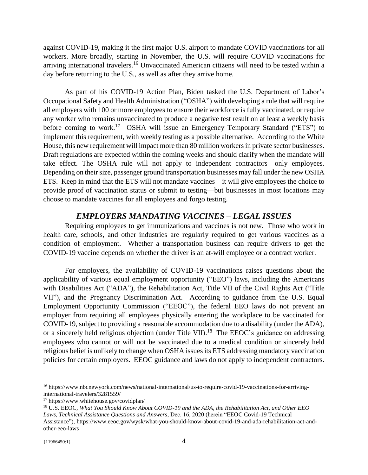against COVID-19, making it the first major U.S. airport to mandate COVID vaccinations for all workers. More broadly, starting in November, the U.S. will require COVID vaccinations for arriving international travelers.<sup>16</sup> Unvaccinated American citizens will need to be tested within a day before returning to the U.S., as well as after they arrive home.

As part of his COVID-19 Action Plan, Biden tasked the U.S. Department of Labor's Occupational Safety and Health Administration ("OSHA") with developing a rule that will require all employers with 100 or more employees to ensure their workforce is fully vaccinated, or require any worker who remains unvaccinated to produce a negative test result on at least a weekly basis before coming to work.<sup>17</sup> OSHA will issue an Emergency Temporary Standard ("ETS") to implement this requirement, with weekly testing as a possible alternative. According to the White House, this new requirement will impact more than 80 million workers in private sector businesses. Draft regulations are expected within the coming weeks and should clarify when the mandate will take effect. The OSHA rule will not apply to independent contractors—only employees. Depending on their size, passenger ground transportation businesses may fall under the new OSHA ETS. Keep in mind that the ETS will not mandate vaccines—it will give employees the choice to provide proof of vaccination status or submit to testing—but businesses in most locations may choose to mandate vaccines for all employees and forgo testing.

#### *EMPLOYERS MANDATING VACCINES – LEGAL ISSUES*

Requiring employees to get immunizations and vaccines is not new. Those who work in health care, schools, and other industries are regularly required to get various vaccines as a condition of employment. Whether a transportation business can require drivers to get the COVID-19 vaccine depends on whether the driver is an at-will employee or a contract worker.

For employers, the availability of COVID-19 vaccinations raises questions about the applicability of various equal employment opportunity ("EEO") laws, including the Americans with Disabilities Act ("ADA"), the Rehabilitation Act, Title VII of the Civil Rights Act ("Title VII"), and the Pregnancy Discrimination Act. According to guidance from the U.S. Equal Employment Opportunity Commission ("EEOC"), the federal EEO laws do not prevent an employer from requiring all employees physically entering the workplace to be vaccinated for COVID-19, subject to providing a reasonable accommodation due to a disability (under the ADA), or a sincerely held religious objection (under Title VII).<sup>18</sup> The EEOC's guidance on addressing employees who cannot or will not be vaccinated due to a medical condition or sincerely held religious belief is unlikely to change when OSHA issues its ETS addressing mandatory vaccination policies for certain employers. EEOC guidance and laws do not apply to independent contractors.

<sup>16</sup> https://www.nbcnewyork.com/news/national-international/us-to-require-covid-19-vaccinations-for-arrivinginternational-travelers/3281559/

<sup>17</sup> https://www.whitehouse.gov/covidplan/

<sup>18</sup> U.S. EEOC, *What You Should Know About COVID-19 and the ADA, the Rehabilitation Act, and Other EEO Laws, Technical Assistance Questions and Answers*, Dec. 16, 2020 (herein "EEOC Covid-19 Technical Assistance"), https://www.eeoc.gov/wysk/what-you-should-know-about-covid-19-and-ada-rehabilitation-act-andother-eeo-laws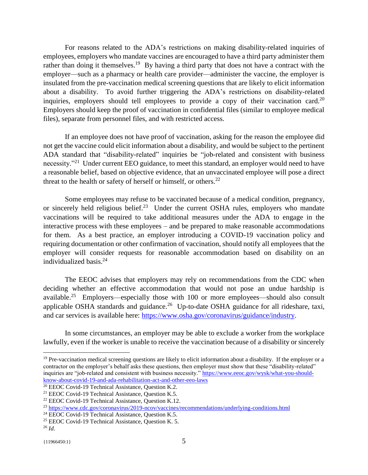For reasons related to the ADA's restrictions on making disability-related inquiries of employees, employers who mandate vaccines are encouraged to have a third party administer them rather than doing it themselves.<sup>19</sup> By having a third party that does not have a contract with the employer—such as a pharmacy or health care provider—administer the vaccine, the employer is insulated from the pre-vaccination medical screening questions that are likely to elicit information about a disability. To avoid further triggering the ADA's restrictions on disability-related inquiries, employers should tell employees to provide a copy of their vaccination card.<sup>20</sup> Employers should keep the proof of vaccination in confidential files (similar to employee medical files), separate from personnel files, and with restricted access.

If an employee does not have proof of vaccination, asking for the reason the employee did not get the vaccine could elicit information about a disability, and would be subject to the pertinent ADA standard that "disability-related" inquiries be "job-related and consistent with business necessity."<sup>21</sup> Under current EEO guidance, to meet this standard, an employer would need to have a reasonable belief, based on objective evidence, that an unvaccinated employee will pose a direct threat to the health or safety of herself or himself, or others. $^{22}$ 

Some employees may refuse to be vaccinated because of a medical condition, pregnancy, or sincerely held religious belief.<sup>23</sup> Under the current OSHA rules, employers who mandate vaccinations will be required to take additional measures under the ADA to engage in the interactive process with these employees – and be prepared to make reasonable accommodations for them. As a best practice, an employer introducing a COVID-19 vaccination policy and requiring documentation or other confirmation of vaccination, should notify all employees that the employer will consider requests for reasonable accommodation based on disability on an individualized basis.<sup>24</sup>

The EEOC advises that employers may rely on recommendations from the CDC when deciding whether an effective accommodation that would not pose an undue hardship is available.<sup>25</sup> Employers—especially those with 100 or more employees—should also consult applicable OSHA standards and guidance.<sup>26</sup> Up-to-date OSHA guidance for all rideshare, taxi, and car services is available here: [https://www.osha.gov/coronavirus/guidance/industry.](https://www.osha.gov/coronavirus/guidance/industry)

In some circumstances, an employer may be able to exclude a worker from the workplace lawfully, even if the worker is unable to receive the vaccination because of a disability or sincerely

<sup>&</sup>lt;sup>19</sup> Pre-vaccination medical screening questions are likely to elicit information about a disability. If the employer or a contractor on the employer's behalf asks these questions, then employer must show that these "disability-related" inquiries are "job-related and consistent with business necessity." [https://www.eeoc.gov/wysk/what-you-should](https://www.eeoc.gov/wysk/what-you-should-know-about-covid-19-and-ada-rehabilitation-act-and-other-eeo-laws)[know-about-covid-19-and-ada-rehabilitation-act-and-other-eeo-laws](https://www.eeoc.gov/wysk/what-you-should-know-about-covid-19-and-ada-rehabilitation-act-and-other-eeo-laws)

<sup>&</sup>lt;sup>20</sup> EEOC Covid-19 Technical Assistance, Question K.2.

<sup>&</sup>lt;sup>21</sup> EEOC Covid-19 Technical Assistance, Question K.5.

<sup>22</sup> EEOC Covid-19 Technical Assistance, Question K.12.

<sup>23</sup> <https://www.cdc.gov/coronavirus/2019-ncov/vaccines/recommendations/underlying-conditions.html>

<sup>&</sup>lt;sup>24</sup> EEOC Covid-19 Technical Assistance, Question K.5.

<sup>25</sup> EEOC Covid-19 Technical Assistance, Question K. 5.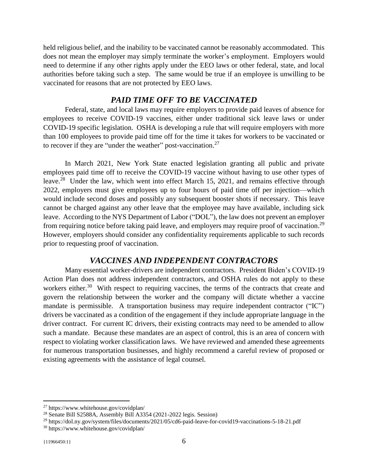held religious belief, and the inability to be vaccinated cannot be reasonably accommodated. This does not mean the employer may simply terminate the worker's employment. Employers would need to determine if any other rights apply under the EEO laws or other federal, state, and local authorities before taking such a step. The same would be true if an employee is unwilling to be vaccinated for reasons that are not protected by EEO laws.

### *PAID TIME OFF TO BE VACCINATED*

Federal, state, and local laws may require employers to provide paid leaves of absence for employees to receive COVID-19 vaccines, either under traditional sick leave laws or under COVID-19 specific legislation. OSHA is developing a rule that will require employers with more than 100 employees to provide paid time off for the time it takes for workers to be vaccinated or to recover if they are "under the weather" post-vaccination. $27$ 

In March 2021, New York State enacted legislation granting all public and private employees paid time off to receive the COVID-19 vaccine without having to use other types of leave.<sup>28</sup> Under the law, which went into effect March 15, 2021, and remains effective through 2022, employers must give employees up to four hours of paid time off per injection—which would include second doses and possibly any subsequent booster shots if necessary. This leave cannot be charged against any other leave that the employee may have available, including sick leave. According to the NYS Department of Labor ("DOL"), the law does not prevent an employer from requiring notice before taking paid leave, and employers may require proof of vaccination.<sup>29</sup> However, employers should consider any confidentiality requirements applicable to such records prior to requesting proof of vaccination.

#### *VACCINES AND INDEPENDENT CONTRACTORS*

Many essential worker-drivers are independent contractors. President Biden's COVID-19 Action Plan does not address independent contractors, and OSHA rules do not apply to these workers either.<sup>30</sup> With respect to requiring vaccines, the terms of the contracts that create and govern the relationship between the worker and the company will dictate whether a vaccine mandate is permissible. A transportation business may require independent contractor ("IC") drivers be vaccinated as a condition of the engagement if they include appropriate language in the driver contract. For current IC drivers, their existing contracts may need to be amended to allow such a mandate. Because these mandates are an aspect of control, this is an area of concern with respect to violating worker classification laws. We have reviewed and amended these agreements for numerous transportation businesses, and highly recommend a careful review of proposed or existing agreements with the assistance of legal counsel.

<sup>27</sup> https://www.whitehouse.gov/covidplan/

<sup>28</sup> Senate Bill S2588A, Assembly Bill A3354 (2021-2022 legis. Session)

<sup>29</sup> https://dol.ny.gov/system/files/documents/2021/05/cd6-paid-leave-for-covid19-vaccinations-5-18-21.pdf <sup>30</sup> https://www.whitehouse.gov/covidplan/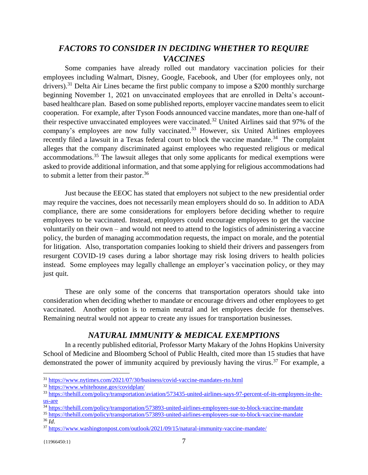# *FACTORS TO CONSIDER IN DECIDING WHETHER TO REQUIRE VACCINES*

Some companies have already rolled out mandatory vaccination policies for their employees including Walmart, Disney, Google, Facebook, and Uber (for employees only, not drivers).<sup>31</sup> Delta Air Lines became the first public company to impose a \$200 monthly surcharge beginning November 1, 2021 on unvaccinated employees that are enrolled in Delta's accountbased healthcare plan. Based on some published reports, employer vaccine mandates seem to elicit cooperation. For example, after Tyson Foods announced vaccine mandates, more than one-half of their respective unvaccinated employees were vaccinated.<sup>32</sup> United Airlines said that 97% of the company's employees are now fully vaccinated.<sup>33</sup> However, six United Airlines employees recently filed a lawsuit in a Texas federal court to block the vaccine mandate.<sup>34</sup> The complaint alleges that the company discriminated against employees who requested religious or medical accommodations.<sup>35</sup> The lawsuit alleges that only some applicants for medical exemptions were asked to provide additional information, and that some applying for religious accommodations had to submit a letter from their pastor. $36$ 

Just because the EEOC has stated that employers not subject to the new presidential order may require the vaccines, does not necessarily mean employers should do so. In addition to ADA compliance, there are some considerations for employers before deciding whether to require employees to be vaccinated. Instead, employers could encourage employees to get the vaccine voluntarily on their own – and would not need to attend to the logistics of administering a vaccine policy, the burden of managing accommodation requests, the impact on morale, and the potential for litigation. Also, transportation companies looking to shield their drivers and passengers from resurgent COVID-19 cases during a labor shortage may risk losing drivers to health policies instead. Some employees may legally challenge an employer's vaccination policy, or they may just quit.

These are only some of the concerns that transportation operators should take into consideration when deciding whether to mandate or encourage drivers and other employees to get vaccinated. Another option is to remain neutral and let employees decide for themselves. Remaining neutral would not appear to create any issues for transportation businesses.

## *NATURAL IMMUNITY & MEDICAL EXEMPTIONS*

In a recently published editorial, Professor Marty Makary of the Johns Hopkins University School of Medicine and Bloomberg School of Public Health, cited more than 15 studies that have demonstrated the power of immunity acquired by previously having the virus.<sup>37</sup> For example, a

<sup>35</sup> <https://thehill.com/policy/transportation/573893-united-airlines-employees-sue-to-block-vaccine-mandate> <sup>36</sup> *Id*.

<sup>&</sup>lt;sup>31</sup> <https://www.nytimes.com/2021/07/30/business/covid-vaccine-mandates-rto.html>

<sup>32</sup> <https://www.whitehouse.gov/covidplan/>

<sup>&</sup>lt;sup>33</sup> [https://thehill.com/policy/transportation/aviation/573435-united-airlines-says-97-percent-of-its-employees-in-the](https://thehill.com/policy/transportation/aviation/573435-united-airlines-says-97-percent-of-its-employees-in-the-us-are)[us-are](https://thehill.com/policy/transportation/aviation/573435-united-airlines-says-97-percent-of-its-employees-in-the-us-are)

<sup>34</sup> https://theh<u>ill.com/policy/transportation/573893-united-airlines-employees-sue-to-block-vaccine-mandate</u>

<sup>37</sup> <https://www.washingtonpost.com/outlook/2021/09/15/natural-immunity-vaccine-mandate/>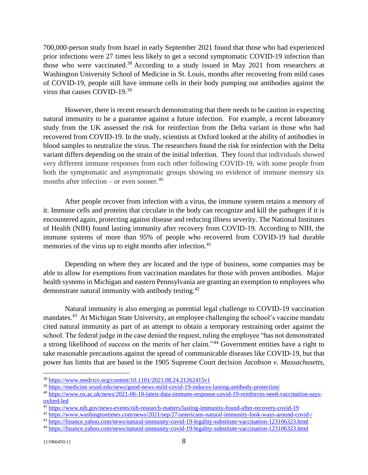700,000-person study from Israel in early September 2021 found that those who had experienced prior infections were 27 times less likely to get a second symptomatic COVID-19 infection than those who were vaccinated.<sup>38</sup> According to a study issued in May 2021 from researchers at Washington University School of Medicine in St. Louis, months after recovering from mild cases of COVID-19, people still have immune cells in their body pumping out antibodies against the virus that causes COVID-19.<sup>39</sup>

However, there is recent research demonstrating that there needs to be caution in expecting natural immunity to be a guarantee against a future infection. For example, a recent laboratory study from the UK assessed the risk for reinfection from the Delta variant in those who had recovered from COVID-19. In the study, scientists at Oxford looked at the ability of antibodies in blood samples to neutralize the virus. The researchers found the risk for reinfection with the Delta variant differs depending on the strain of the initial infection. They found that individuals showed very different immune responses from each other following COVID-19, with some people from both the symptomatic and asymptomatic groups showing no evidence of immune memory six months after infection – or even sooner.<sup>40</sup>

After people recover from infection with a virus, the immune system retains a memory of it. Immune cells and proteins that circulate in the body can recognize and kill the pathogen if it is encountered again, protecting against disease and reducing illness severity. The National Institutes of Health (NIH) found lasting immunity after recovery from COVID-19. According to NIH, the immune systems of more than 95% of people who recovered from COVID-19 had durable memories of the virus up to eight months after infection.<sup>41</sup>

Depending on where they are located and the type of business, some companies may be able to allow for exemptions from vaccination mandates for those with proven antibodies. Major health systems in Michigan and eastern Pennsylvania are granting an exemption to employees who demonstrate natural immunity with antibody testing.<sup>42</sup>

Natural immunity is also emerging as potential legal challenge to COVID-19 vaccination mandates.<sup>43</sup> At Michigan State University, an employee challenging the school's vaccine mandate cited natural immunity as part of an attempt to obtain a temporary restraining order against the school. The federal judge in the case denied the request, ruling the employee "has not demonstrated a strong likelihood of success on the merits of her claim."<sup>44</sup> Government entities have a right to take reasonable precautions against the spread of communicable diseases like COVID-19, but that power has limits that are based in the 1905 Supreme Court decision *Jacobson v. Massachusetts*,

<sup>38</sup> <https://www.medrxiv.org/content/10.1101/2021.08.24.21262415v1>

<sup>&</sup>lt;sup>39</sup> <https://medicine.wustl.edu/news/good-news-mild-covid-19-induces-lasting-antibody-protection/>

<sup>40</sup> [https://www.ox.ac.uk/news/2021-06-18-latest-data-immune-response-covid-19-reinforces-need-vaccination-says](https://www.ox.ac.uk/news/2021-06-18-latest-data-immune-response-covid-19-reinforces-need-vaccination-says-oxford-led)[oxford-led](https://www.ox.ac.uk/news/2021-06-18-latest-data-immune-response-covid-19-reinforces-need-vaccination-says-oxford-led)

<sup>41</sup> <https://www.nih.gov/news-events/nih-research-matters/lasting-immunity-found-after-recovery-covid-19>

<sup>42</sup> <https://www.washingtontimes.com/news/2021/sep/27/americans-natural-immunity-look-ways-around-covid-/>

<sup>43</sup> <https://finance.yahoo.com/news/natural-immunity-covid-19-legality-substitute-vaccination-123106323.html>

<sup>44</sup> <https://finance.yahoo.com/news/natural-immunity-covid-19-legality-substitute-vaccination-123106323.html>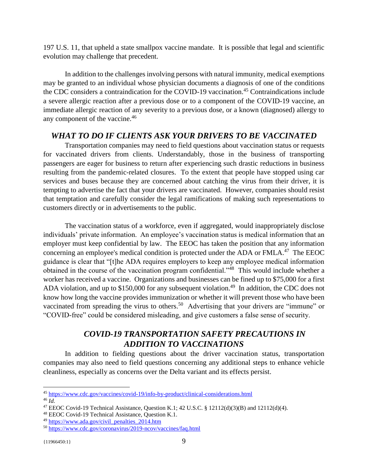197 U.S. 11, that upheld a state smallpox vaccine mandate. It is possible that legal and scientific evolution may challenge that precedent.

In addition to the challenges involving persons with natural immunity, medical exemptions may be granted to an individual whose physician documents a diagnosis of one of the conditions the CDC considers a contraindication for the COVID-19 vaccination.<sup>45</sup> Contraindications include a severe allergic reaction after a previous dose or to a component of the COVID-19 vaccine, an immediate allergic reaction of any severity to a previous dose, or a known (diagnosed) allergy to any component of the vaccine.<sup>46</sup>

## *WHAT TO DO IF CLIENTS ASK YOUR DRIVERS TO BE VACCINATED*

Transportation companies may need to field questions about vaccination status or requests for vaccinated drivers from clients. Understandably, those in the business of transporting passengers are eager for business to return after experiencing such drastic reductions in business resulting from the pandemic-related closures. To the extent that people have stopped using car services and buses because they are concerned about catching the virus from their driver, it is tempting to advertise the fact that your drivers are vaccinated. However, companies should resist that temptation and carefully consider the legal ramifications of making such representations to customers directly or in advertisements to the public.

The vaccination status of a workforce, even if aggregated, would inappropriately disclose individuals' private information. An employee's vaccination status is medical information that an employer must keep confidential by law. The EEOC has taken the position that any information concerning an employee's medical condition is protected under the ADA or  $FMLA$ <sup>47</sup> The EEOC guidance is clear that "[t]he ADA requires employers to keep any employee medical information obtained in the course of the vaccination program confidential."<sup>48</sup> This would include whether a worker has received a vaccine. Organizations and businesses can be fined up to \$75,000 for a first ADA violation, and up to \$150,000 for any subsequent violation.<sup>49</sup> In addition, the CDC does not know how long the vaccine provides immunization or whether it will prevent those who have been vaccinated from spreading the virus to others.<sup>50</sup> Advertising that your drivers are "immune" or "COVID-free" could be considered misleading, and give customers a false sense of security.

# *COVID-19 TRANSPORTATION SAFETY PRECAUTIONS IN ADDITION TO VACCINATIONS*

In addition to fielding questions about the driver vaccination status, transportation companies may also need to field questions concerning any additional steps to enhance vehicle cleanliness, especially as concerns over the Delta variant and its effects persist.

<sup>45</sup> <https://www.cdc.gov/vaccines/covid-19/info-by-product/clinical-considerations.html>

<sup>46</sup> *Id.*

<sup>47</sup> EEOC Covid-19 Technical Assistance, Question K.1; 42 U.S.C. § 12112(d)(3)(B) and 12112(d)(4).

<sup>48</sup> EEOC Covid-19 Technical Assistance, Question K.1.

<sup>49</sup> [https://www.ada.gov/civil\\_penalties\\_2014.htm](https://www.ada.gov/civil_penalties_2014.htm)

<sup>50</sup> <https://www.cdc.gov/coronavirus/2019-ncov/vaccines/faq.html>